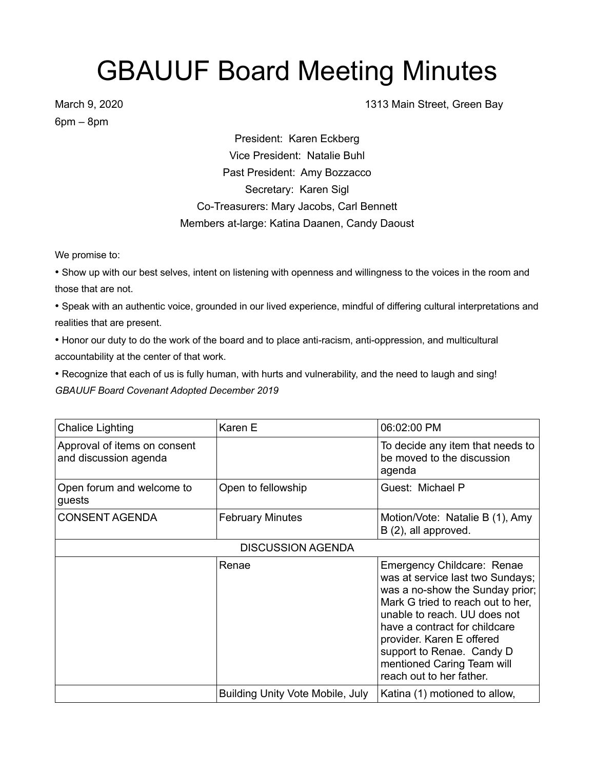## GBAUUF Board Meeting Minutes

6pm – 8pm

March 9, 2020 **1313 Main Street, Green Bay** 

President: Karen Eckberg Vice President: Natalie Buhl Past President: Amy Bozzacco Secretary: Karen Sigl Co-Treasurers: Mary Jacobs, Carl Bennett Members at-large: Katina Daanen, Candy Daoust

We promise to:

• Show up with our best selves, intent on listening with openness and willingness to the voices in the room and those that are not.

• Speak with an authentic voice, grounded in our lived experience, mindful of differing cultural interpretations and realities that are present.

• Honor our duty to do the work of the board and to place anti-racism, anti-oppression, and multicultural accountability at the center of that work.

• Recognize that each of us is fully human, with hurts and vulnerability, and the need to laugh and sing! *GBAUUF Board Covenant Adopted December 2019*

| <b>Chalice Lighting</b>                               | Karen E                          | 06:02:00 PM                                                                                                                                                                                                                                                                                                                 |  |
|-------------------------------------------------------|----------------------------------|-----------------------------------------------------------------------------------------------------------------------------------------------------------------------------------------------------------------------------------------------------------------------------------------------------------------------------|--|
| Approval of items on consent<br>and discussion agenda |                                  | To decide any item that needs to<br>be moved to the discussion<br>agenda                                                                                                                                                                                                                                                    |  |
| Open forum and welcome to<br>guests                   | Open to fellowship               | Guest: Michael P                                                                                                                                                                                                                                                                                                            |  |
| <b>CONSENT AGENDA</b>                                 | <b>February Minutes</b>          | Motion/Vote: Natalie B (1), Amy<br>B (2), all approved.                                                                                                                                                                                                                                                                     |  |
| <b>DISCUSSION AGENDA</b>                              |                                  |                                                                                                                                                                                                                                                                                                                             |  |
|                                                       | Renae                            | Emergency Childcare: Renae<br>was at service last two Sundays;<br>was a no-show the Sunday prior;<br>Mark G tried to reach out to her,<br>unable to reach. UU does not<br>have a contract for childcare<br>provider. Karen E offered<br>support to Renae. Candy D<br>mentioned Caring Team will<br>reach out to her father. |  |
|                                                       | Building Unity Vote Mobile, July | Katina (1) motioned to allow,                                                                                                                                                                                                                                                                                               |  |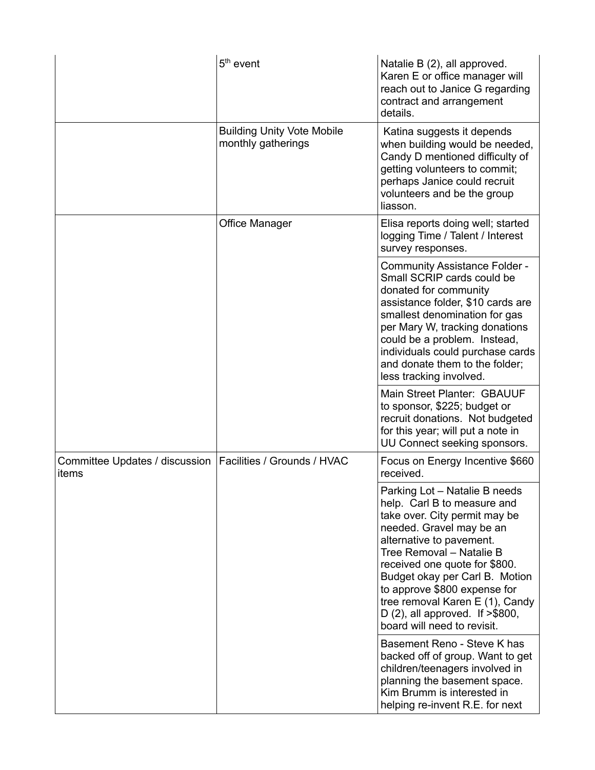|                                                                       | $5th$ event                                             | Natalie B (2), all approved.<br>Karen E or office manager will<br>reach out to Janice G regarding<br>contract and arrangement<br>details.                                                                                                                                                                                                                                                       |
|-----------------------------------------------------------------------|---------------------------------------------------------|-------------------------------------------------------------------------------------------------------------------------------------------------------------------------------------------------------------------------------------------------------------------------------------------------------------------------------------------------------------------------------------------------|
|                                                                       | <b>Building Unity Vote Mobile</b><br>monthly gatherings | Katina suggests it depends<br>when building would be needed,<br>Candy D mentioned difficulty of<br>getting volunteers to commit;<br>perhaps Janice could recruit<br>volunteers and be the group<br>liasson.                                                                                                                                                                                     |
|                                                                       | Office Manager                                          | Elisa reports doing well; started<br>logging Time / Talent / Interest<br>survey responses.                                                                                                                                                                                                                                                                                                      |
|                                                                       |                                                         | <b>Community Assistance Folder -</b><br>Small SCRIP cards could be<br>donated for community<br>assistance folder, \$10 cards are<br>smallest denomination for gas<br>per Mary W, tracking donations<br>could be a problem. Instead,<br>individuals could purchase cards<br>and donate them to the folder;<br>less tracking involved.                                                            |
|                                                                       |                                                         | Main Street Planter: GBAUUF<br>to sponsor, \$225; budget or<br>recruit donations. Not budgeted<br>for this year; will put a note in<br>UU Connect seeking sponsors.                                                                                                                                                                                                                             |
| Committee Updates / discussion   Facilities / Grounds / HVAC<br>items |                                                         | Focus on Energy Incentive \$660<br>received.                                                                                                                                                                                                                                                                                                                                                    |
|                                                                       |                                                         | Parking Lot - Natalie B needs<br>help. Carl B to measure and<br>take over. City permit may be<br>needed. Gravel may be an<br>alternative to pavement.<br>Tree Removal - Natalie B<br>received one quote for \$800.<br>Budget okay per Carl B. Motion<br>to approve \$800 expense for<br>tree removal Karen E (1), Candy<br>D $(2)$ , all approved. If $>$ \$800,<br>board will need to revisit. |
|                                                                       |                                                         | Basement Reno - Steve K has<br>backed off of group. Want to get<br>children/teenagers involved in<br>planning the basement space.<br>Kim Brumm is interested in<br>helping re-invent R.E. for next                                                                                                                                                                                              |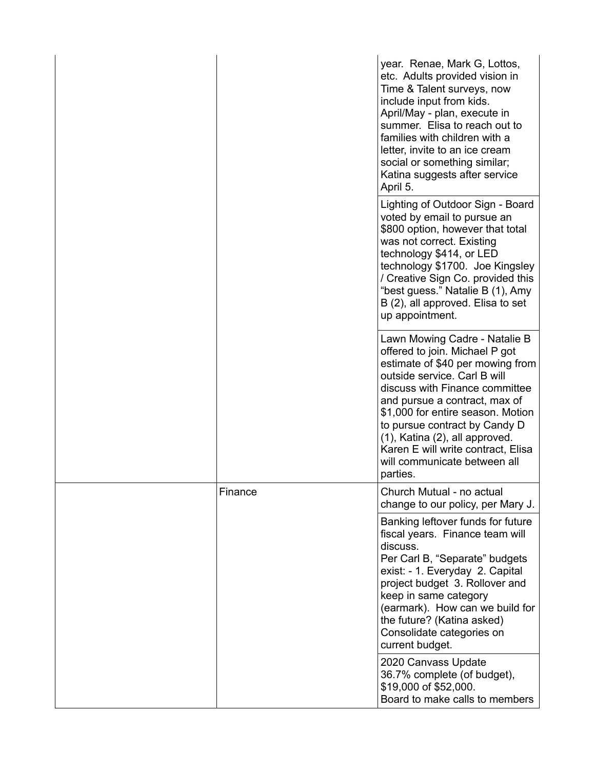|  |         | year. Renae, Mark G, Lottos,<br>etc. Adults provided vision in<br>Time & Talent surveys, now<br>include input from kids.<br>April/May - plan, execute in<br>summer. Elisa to reach out to<br>families with children with a<br>letter, invite to an ice cream<br>social or something similar;<br>Katina suggests after service<br>April 5.                                                        |
|--|---------|--------------------------------------------------------------------------------------------------------------------------------------------------------------------------------------------------------------------------------------------------------------------------------------------------------------------------------------------------------------------------------------------------|
|  |         | Lighting of Outdoor Sign - Board<br>voted by email to pursue an<br>\$800 option, however that total<br>was not correct. Existing<br>technology \$414, or LED<br>technology \$1700. Joe Kingsley<br>/ Creative Sign Co. provided this<br>"best guess." Natalie B (1), Amy<br>B (2), all approved. Elisa to set<br>up appointment.                                                                 |
|  |         | Lawn Mowing Cadre - Natalie B<br>offered to join. Michael P got<br>estimate of \$40 per mowing from<br>outside service. Carl B will<br>discuss with Finance committee<br>and pursue a contract, max of<br>\$1,000 for entire season. Motion<br>to pursue contract by Candy D<br>(1), Katina (2), all approved.<br>Karen E will write contract, Elisa<br>will communicate between all<br>parties. |
|  | Finance | Church Mutual - no actual<br>change to our policy, per Mary J.                                                                                                                                                                                                                                                                                                                                   |
|  |         | Banking leftover funds for future<br>fiscal years. Finance team will<br>discuss.<br>Per Carl B, "Separate" budgets<br>exist: - 1. Everyday 2. Capital<br>project budget 3. Rollover and<br>keep in same category<br>(earmark). How can we build for<br>the future? (Katina asked)<br>Consolidate categories on<br>current budget.                                                                |
|  |         | 2020 Canvass Update<br>36.7% complete (of budget),<br>\$19,000 of \$52,000.<br>Board to make calls to members                                                                                                                                                                                                                                                                                    |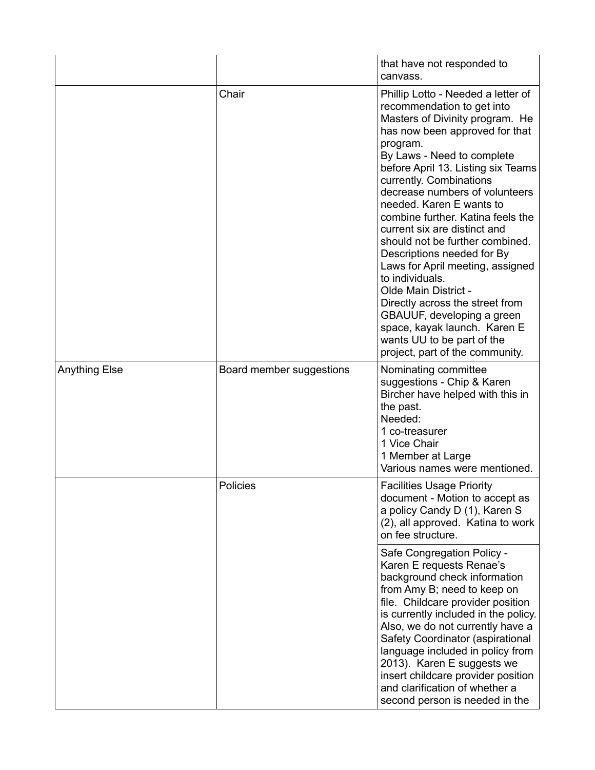|                      |                          | that have not responded to<br>canvass.                                                                                                                                                                                                                                                                                                                                                                                                                                                                                                                                                                                                                                                                |
|----------------------|--------------------------|-------------------------------------------------------------------------------------------------------------------------------------------------------------------------------------------------------------------------------------------------------------------------------------------------------------------------------------------------------------------------------------------------------------------------------------------------------------------------------------------------------------------------------------------------------------------------------------------------------------------------------------------------------------------------------------------------------|
|                      | Chair                    | Phillip Lotto - Needed a letter of<br>recommendation to get into<br>Masters of Divinity program. He<br>has now been approved for that<br>program.<br>By Laws - Need to complete<br>before April 13. Listing six Teams<br>currently. Combinations<br>decrease numbers of volunteers<br>needed. Karen E wants to<br>combine further. Katina feels the<br>current six are distinct and<br>should not be further combined.<br>Descriptions needed for By<br>Laws for April meeting, assigned<br>to individuals.<br>Olde Main District -<br>Directly across the street from<br>GBAUUF, developing a green<br>space, kayak launch. Karen E<br>wants UU to be part of the<br>project, part of the community. |
| <b>Anything Else</b> | Board member suggestions | Nominating committee<br>suggestions - Chip & Karen<br>Bircher have helped with this in<br>the past.<br>Needed:<br>1 co-treasurer<br>1 Vice Chair<br>1 Member at Large<br>Various names were mentioned.                                                                                                                                                                                                                                                                                                                                                                                                                                                                                                |
|                      | Policies                 | <b>Facilities Usage Priority</b><br>document - Motion to accept as<br>a policy Candy D (1), Karen S<br>(2), all approved. Katina to work<br>on fee structure.                                                                                                                                                                                                                                                                                                                                                                                                                                                                                                                                         |
|                      |                          | Safe Congregation Policy -<br>Karen E requests Renae's<br>background check information<br>from Amy B; need to keep on<br>file. Childcare provider position<br>is currently included in the policy.<br>Also, we do not currently have a<br>Safety Coordinator (aspirational<br>language included in policy from<br>2013). Karen E suggests we<br>insert childcare provider position<br>and clarification of whether a<br>second person is needed in the                                                                                                                                                                                                                                                |